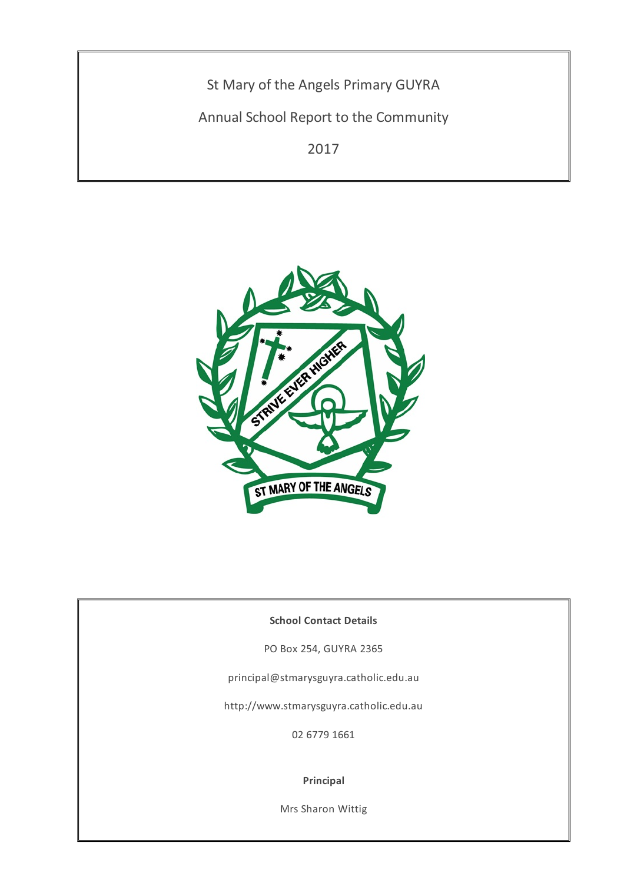St Mary of the Angels Primary GUYRA

Annual School Report to the Community

2017



### **School Contact Details**

PO Box 254, GUYRA 2365

principal@stmarysguyra.catholic.edu.au

http://www.stmarysguyra.catholic.edu.au

02 6779 1661

#### **Principal**

Mrs Sharon Wittig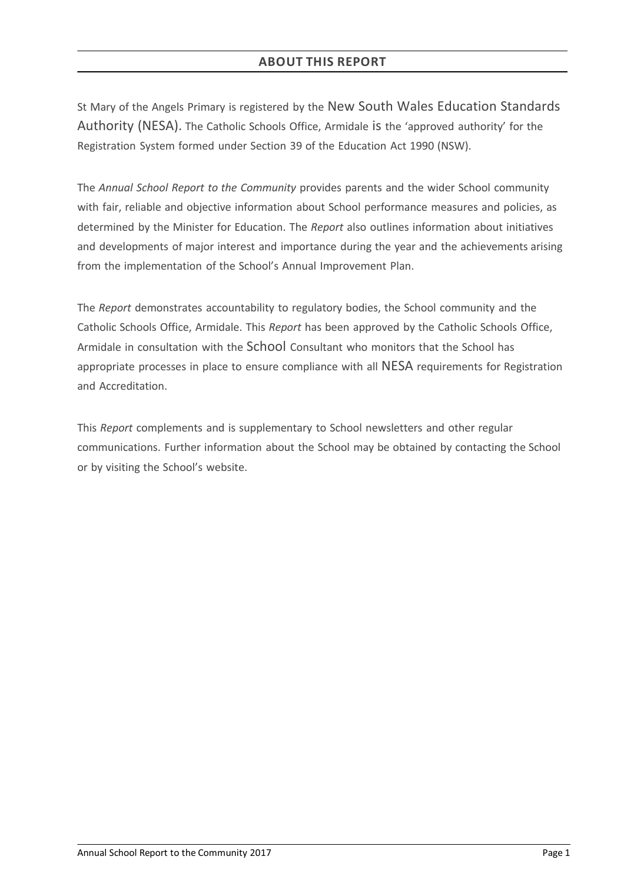# **ABOUT THIS REPORT**

St Mary of the Angels Primary is registered by the New South Wales Education Standards Authority (NESA). The Catholic Schools Office, Armidale is the 'approved authority' for the Registration System formed under Section 39 of the Education Act 1990 (NSW).

The *Annual School Report to the Community* provides parents and the wider School community with fair, reliable and objective information about School performance measures and policies, as determined by the Minister for Education. The *Report* also outlines information about initiatives and developments of major interest and importance during the year and the achievements arising from the implementation of the School's Annual Improvement Plan.

The *Report* demonstrates accountability to regulatory bodies, the School community and the Catholic Schools Office, Armidale. This *Report* has been approved by the Catholic Schools Office, Armidale in consultation with the School Consultant who monitors that the School has appropriate processes in place to ensure compliance with all NESA requirements for Registration and Accreditation.

This *Report* complements and is supplementary to School newsletters and other regular communications. Further information about the School may be obtained by contacting the School or by visiting the School's website.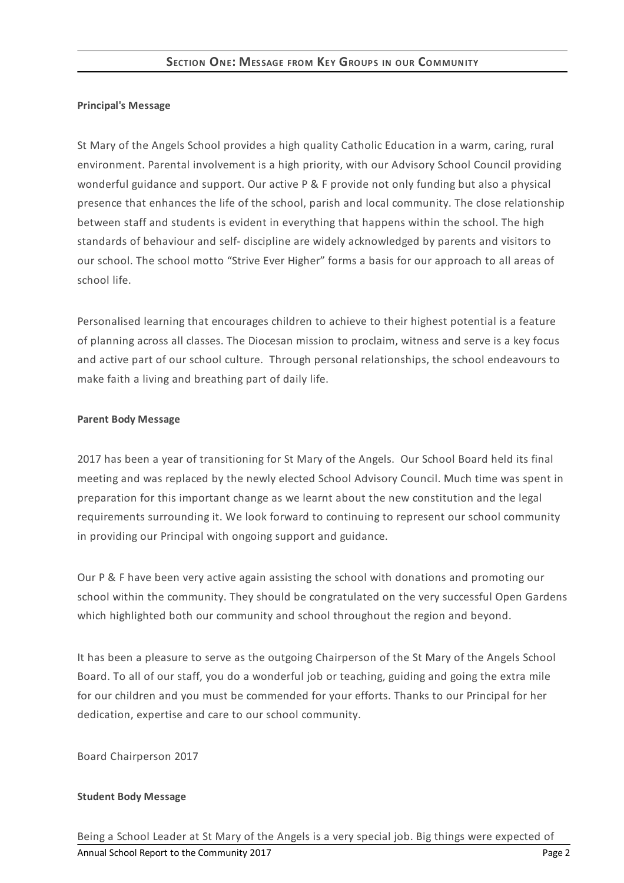#### **Principal's Message**

St Mary of the Angels School provides a high quality Catholic Education in a warm, caring, rural environment. Parental involvement is a high priority, with our Advisory School Council providing wonderful guidance and support. Our active P & F provide not only funding but also a physical presence that enhances the life of the school, parish and local community. The close relationship between staff and students is evident in everything that happens within the school. The high standards of behaviour and self- discipline are widely acknowledged by parents and visitors to our school. The school motto "Strive Ever Higher" forms a basis for our approach to all areas of school life.

Personalised learning that encourages children to achieve to their highest potential is a feature of planning across all classes. The Diocesan mission to proclaim, witness and serve is a key focus and active part of our school culture. Through personal relationships, the school endeavours to make faith a living and breathing part of daily life.

#### **Parent Body Message**

2017 has been a year of transitioning for St Mary of the Angels. Our School Board held its final meeting and was replaced by the newly elected School Advisory Council. Much time was spent in preparation for this important change as we learnt about the new constitution and the legal requirements surrounding it. We look forward to continuing to represent our school community in providing our Principal with ongoing support and guidance.

Our P & F have been very active again assisting the school with donations and promoting our school within the community. They should be congratulated on the very successful Open Gardens which highlighted both our community and school throughout the region and beyond.

It has been a pleasure to serve as the outgoing Chairperson of the St Mary of the Angels School Board. To all of our staff, you do a wonderful job or teaching, guiding and going the extra mile for our children and you must be commended for your efforts. Thanks to our Principal for her dedication, expertise and care to our school community.

Board Chairperson 2017

### **Student Body Message**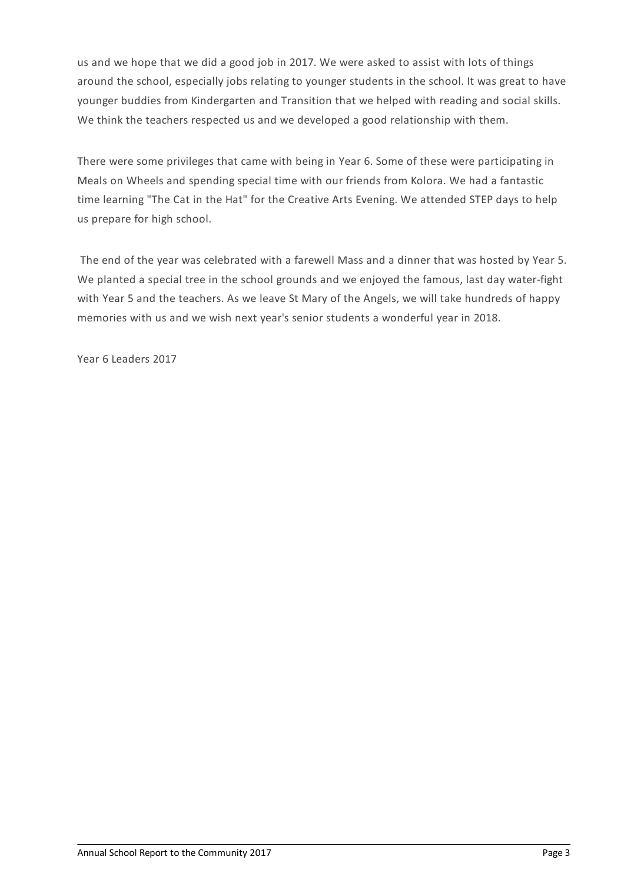us and we hope that we did a good job in 2017. We were asked to assist with lots of things around the school, especially jobs relating to younger students in the school. It was great to have younger buddies from Kindergarten and Transition that we helped with reading and social skills. We think the teachers respected us and we developed a good relationship with them.

There were some privileges that came with being in Year 6. Some of these were participating in Meals on Wheels and spending special time with our friends from Kolora. We had a fantastic time learning "The Cat in the Hat" for the Creative Arts Evening. We attended STEP days to help us prepare for high school.

The end of the year was celebrated with a farewell Mass and a dinner that was hosted by Year 5. We planted a special tree in the school grounds and we enjoyed the famous, last day water-fight with Year 5 and the teachers. As we leave St Mary of the Angels, we will take hundreds of happy memories with us and we wish next year's senior students a wonderful year in 2018.

Year 6 Leaders 2017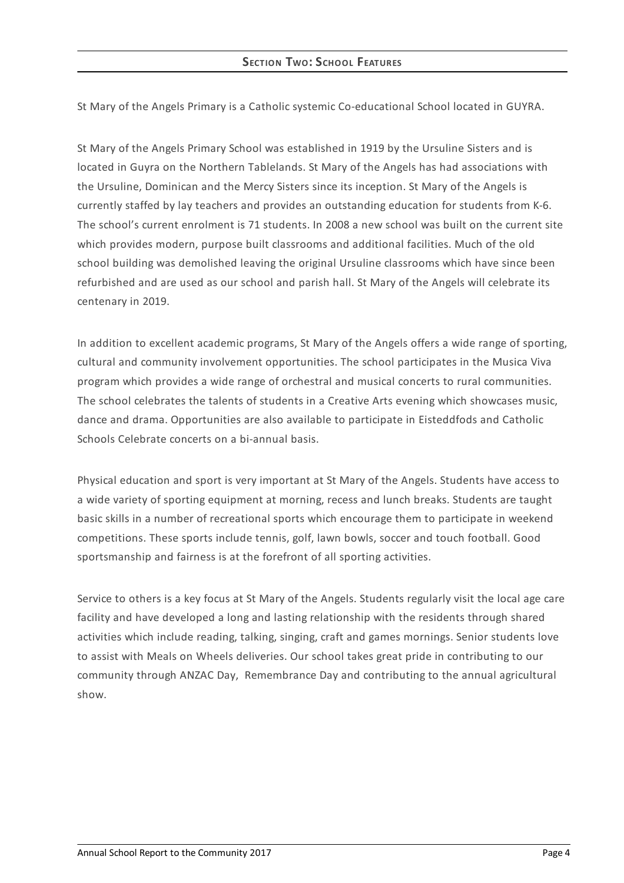St Mary of the Angels Primary is a Catholic systemic Co-educational School located in GUYRA.

St Mary of the Angels Primary School was established in 1919 by the Ursuline Sisters and is located in Guyra on the Northern Tablelands. St Mary of the Angels has had associations with the Ursuline, Dominican and the Mercy Sisters since its inception. St Mary of the Angels is currently staffed by lay teachers and provides an outstanding education for students from K-6. The school's current enrolment is 71 students. In 2008 a new school was built on the current site which provides modern, purpose built classrooms and additional facilities. Much of the old school building was demolished leaving the original Ursuline classrooms which have since been refurbished and are used as our school and parish hall. St Mary of the Angels will celebrate its centenary in 2019.

In addition to excellent academic programs, St Mary of the Angels offers a wide range of sporting, cultural and community involvement opportunities. The school participates in the Musica Viva program which provides a wide range of orchestral and musical concerts to rural communities. The school celebrates the talents of students in a Creative Arts evening which showcases music, dance and drama. Opportunities are also available to participate in Eisteddfods and Catholic Schools Celebrate concerts on a bi-annual basis.

Physical education and sport is very important at St Mary of the Angels. Students have access to a wide variety of sporting equipment at morning, recess and lunch breaks. Students are taught basic skills in a number of recreational sports which encourage them to participate in weekend competitions. These sports include tennis, golf, lawn bowls, soccer and touch football. Good sportsmanship and fairness is at the forefront of all sporting activities.

Service to others is a key focus at St Mary of the Angels. Students regularly visit the local age care facility and have developed a long and lasting relationship with the residents through shared activities which include reading, talking, singing, craft and games mornings. Senior students love to assist with Meals on Wheels deliveries. Our school takes great pride in contributing to our community through ANZAC Day, Remembrance Day and contributing to the annual agricultural show.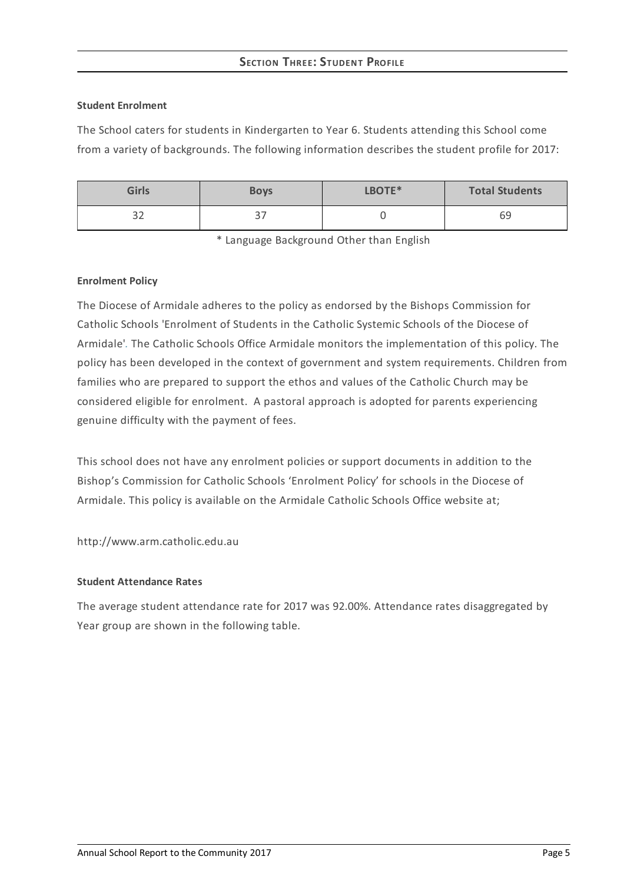# **SECTION THREE: STUDEN T PROFILE**

#### **Student Enrolment**

The School caters for students in Kindergarten to Year 6. Students attending this School come from a variety of backgrounds. The following information describes the student profile for 2017:

| <b>Girls</b>  | <b>Boys</b>    | LBOTE* | <b>Total Students</b> |
|---------------|----------------|--------|-----------------------|
| $\sim$<br>ے ب | $\lnot$<br>، ب |        | 69                    |

\* Language Background Other than English

#### **Enrolment Policy**

The Diocese of Armidale adheres to the policy as endorsed by the Bishops Commission for Catholic Schools 'Enrolment of Students in the Catholic Systemic Schools of the Diocese of Armidale'*[.](http://www.ceosyd.catholic.edu.au/About/Pages/pol-pos-papers.aspx)* The Catholic Schools Office Armidale monitors the implementation of this policy. The policy has been developed in the context of government and system requirements. Children from families who are prepared to support the ethos and values of the Catholic Church may be considered eligible for enrolment. A pastoral approach is adopted for parents experiencing genuine difficulty with the payment of fees.

This school does not have any enrolment policies or support documents in addition to the Bishop's Commission for Catholic Schools 'Enrolment Policy' for schools in the Diocese of Armidale. This policy is available on the Armidale Catholic Schools Office website at;

http://www.arm.catholic.edu.au

### **Student Attendance Rates**

The average student attendance rate for 2017 was 92.00%. Attendance rates disaggregated by Year group are shown in the following table.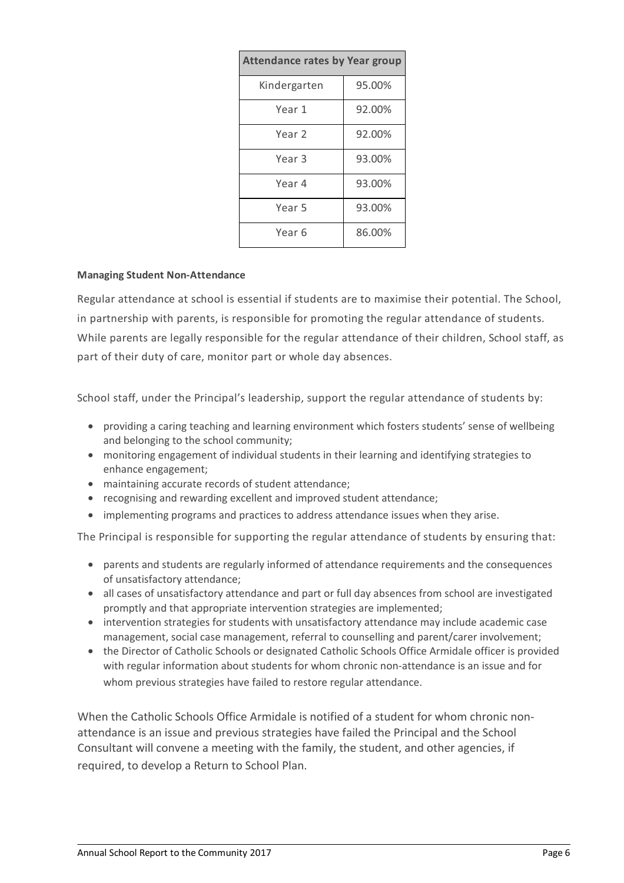| <b>Attendance rates by Year group</b> |        |  |
|---------------------------------------|--------|--|
| Kindergarten                          | 95.00% |  |
| Year 1                                | 92.00% |  |
| Year 2                                | 92.00% |  |
| Year 3                                | 93.00% |  |
| Year 4                                | 93.00% |  |
| Year 5                                | 93.00% |  |
| Year 6                                | 86.00% |  |

#### **Managing Student Non-Attendance**

Regular attendance at school is essential if students are to maximise their potential. The School, in partnership with parents, is responsible for promoting the regular attendance of students. While parents are legally responsible for the regular attendance of their children, School staff, as part of their duty of care, monitor part or whole day absences.

School staff, under the Principal's leadership, support the regular attendance of students by:

- providing a caring teaching and learning environment which fosters students' sense of wellbeing and belonging to the school community;
- monitoring engagement of individual students in their learning and identifying strategies to enhance engagement;
- maintaining accurate records of student attendance;
- recognising and rewarding excellent and improved student attendance;
- implementing programs and practices to address attendance issues when they arise.

The Principal is responsible for supporting the regular attendance of students by ensuring that:

- parents and students are regularly informed of attendance requirements and the consequences of unsatisfactory attendance;
- all cases of unsatisfactory attendance and part or full day absences from school are investigated promptly and that appropriate intervention strategies are implemented;
- intervention strategies for students with unsatisfactory attendance may include academic case management, social case management, referral to counselling and parent/carer involvement;
- the Director of Catholic Schools or designated Catholic Schools Office Armidale officer is provided with regular information about students for whom chronic non-attendance is an issue and for whom previous strategies have failed to restore regular attendance.

When the Catholic Schools Office Armidale is notified of a student for whom chronic nonattendance is an issue and previous strategies have failed the Principal and the School Consultant will convene a meeting with the family, the student, and other agencies, if required, to develop a Return to School Plan.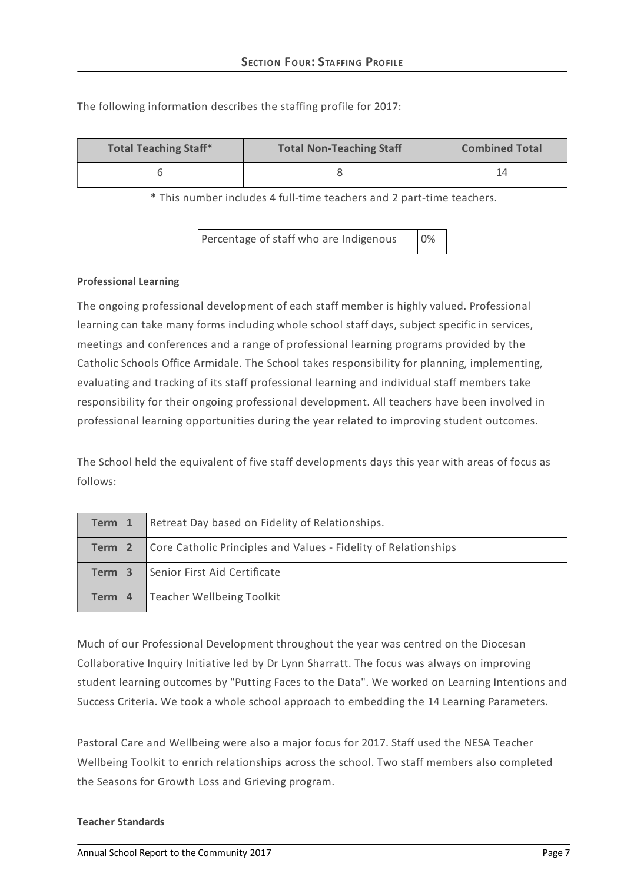| <b>Total Teaching Staff*</b>                             | <b>Total Non-Teaching Staff</b> | <b>Combined Total</b> |  |
|----------------------------------------------------------|---------------------------------|-----------------------|--|
|                                                          |                                 |                       |  |
| 東 美しちょう しんしょうきょうしんしょ すず せいちょうしょうしょう こうしゅう しょういちょう こうしょうし |                                 |                       |  |

The following information describes the staffing profile for 2017:

\* This number includes 4 full-time teachers and 2 part-time teachers.

Percentage of staff who are Indigenous 0%

#### **Professional Learning**

The ongoing professional development of each staff member is highly valued. Professional learning can take many forms including whole school staff days, subject specific in services, meetings and conferences and a range of professional learning programs provided by the Catholic Schools Office Armidale. The School takes responsibility for planning, implementing, evaluating and tracking of its staff professional learning and individual staff members take responsibility for their ongoing professional development. All teachers have been involved in professional learning opportunities during the year related to improving student outcomes.

The School held the equivalent of five staff developments days this year with areas of focus as follows:

| Term 1 | Retreat Day based on Fidelity of Relationships.                 |
|--------|-----------------------------------------------------------------|
| Term 2 | Core Catholic Principles and Values - Fidelity of Relationships |
| Term 3 | Senior First Aid Certificate                                    |
| Term 4 | Teacher Wellbeing Toolkit                                       |

Much of our Professional Development throughout the year was centred on the Diocesan Collaborative Inquiry Initiative led by Dr Lynn Sharratt. The focus was always on improving student learning outcomes by "Putting Faces to the Data". We worked on Learning Intentions and Success Criteria. We took a whole school approach to embedding the 14 Learning Parameters.

Pastoral Care and Wellbeing were also a major focus for 2017. Staff used the NESA Teacher Wellbeing Toolkit to enrich relationships across the school. Two staff members also completed the Seasons for Growth Loss and Grieving program.

#### **Teacher Standards**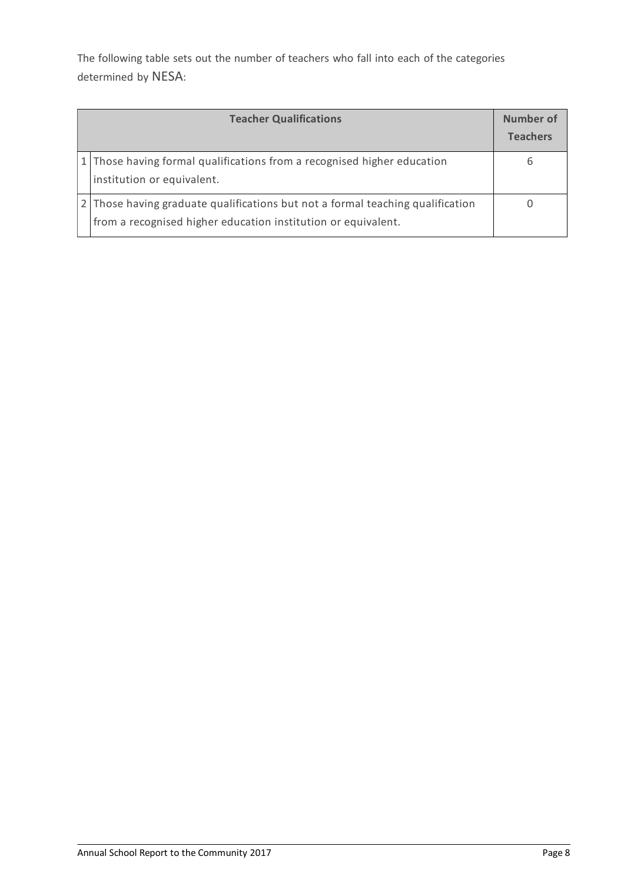The following table sets out the number of teachers who fall into each of the categories determined by NESA:

| <b>Teacher Qualifications</b>                                                                                                                 | Number of<br><b>Teachers</b> |
|-----------------------------------------------------------------------------------------------------------------------------------------------|------------------------------|
| 1 Those having formal qualifications from a recognised higher education<br>institution or equivalent.                                         | b                            |
| Those having graduate qualifications but not a formal teaching qualification<br>from a recognised higher education institution or equivalent. |                              |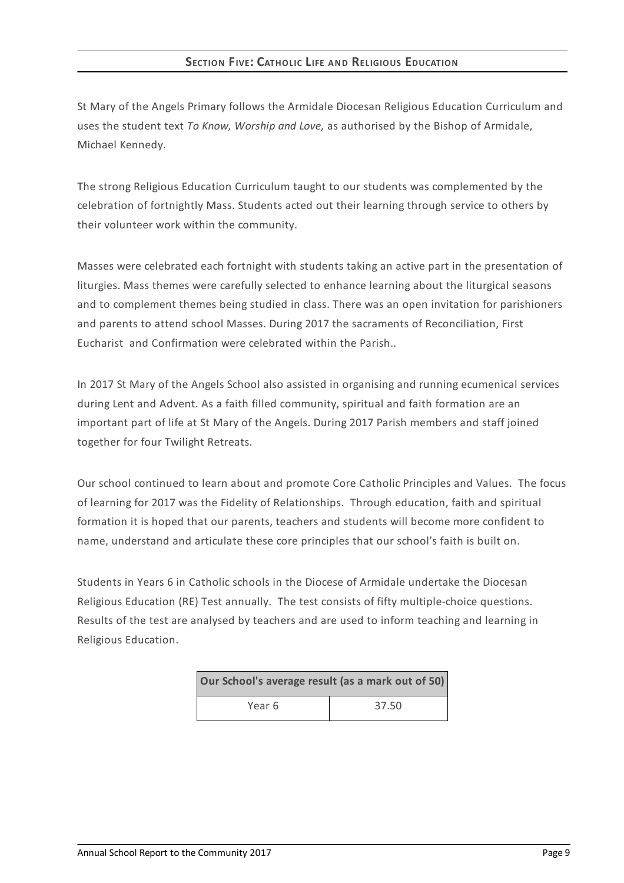## **SECTION FIVE: CATHOLIC LIFE AND RELIGIOUS EDUCATION**

St Mary of the Angels Primary follows the Armidale Diocesan Religious Education Curriculum and uses the student text *To Know, Worship and Love,* as authorised by the Bishop of Armidale, Michael Kennedy.

The strong Religious Education Curriculum taught to our students was complemented by the celebration of fortnightly Mass. Students acted out their learning through service to others by their volunteer work within the community.

Masses were celebrated each fortnight with students taking an active part in the presentation of liturgies. Mass themes were carefully selected to enhance learning about the liturgical seasons and to complement themes being studied in class. There was an open invitation for parishioners and parents to attend school Masses. During 2017 the sacraments of Reconciliation, First Eucharist and Confirmation were celebrated within the Parish..

In 2017 St Mary of the Angels School also assisted in organising and running ecumenical services during Lent and Advent. As a faith filled community, spiritual and faith formation are an important part of life at St Mary of the Angels. During 2017 Parish members and staff joined together for four Twilight Retreats.

Our school continued to learn about and promote Core Catholic Principles and Values. The focus of learning for 2017 was the Fidelity of Relationships. Through education, faith and spiritual formation it is hoped that our parents, teachers and students will become more confident to name, understand and articulate these core principles that our school's faith is built on.

Students in Years 6 in Catholic schools in the Diocese of Armidale undertake the Diocesan Religious Education (RE) Test annually. The test consists of fifty multiple-choice questions. Results of the test are analysed by teachers and are used to inform teaching and learning in Religious Education.

| Our School's average result (as a mark out of 50) |       |  |
|---------------------------------------------------|-------|--|
| Year 6                                            | 37.50 |  |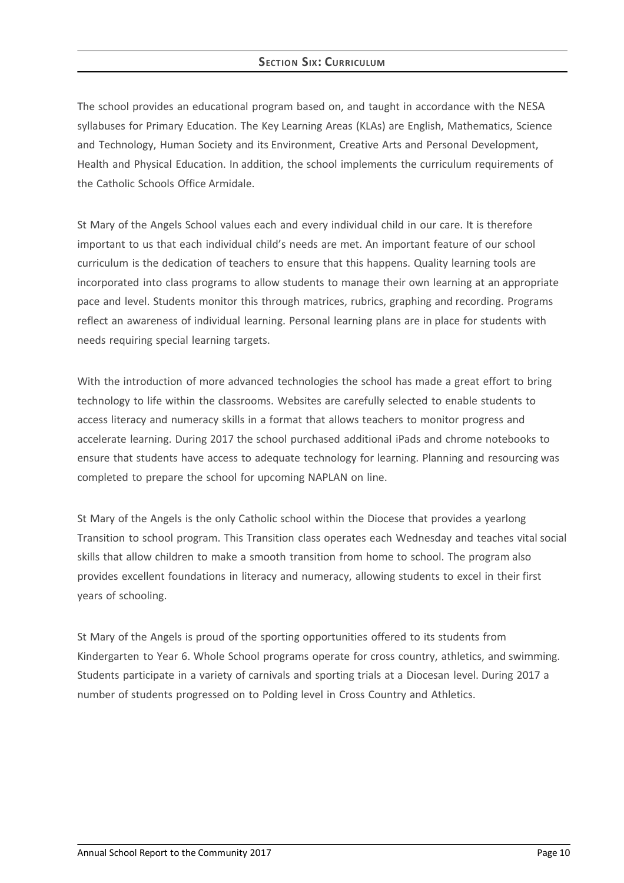# **SECTION SIX: CURRICULUM**

The school provides an educational program based on, and taught in accordance with the NESA syllabuses for Primary Education. The Key Learning Areas (KLAs) are English, Mathematics, Science and Technology, Human Society and its Environment, Creative Arts and Personal Development, Health and Physical Education. In addition, the school implements the curriculum requirements of the Catholic Schools Office Armidale.

St Mary of the Angels School values each and every individual child in our care. It is therefore important to us that each individual child's needs are met. An important feature of our school curriculum is the dedication of teachers to ensure that this happens. Quality learning tools are incorporated into class programs to allow students to manage their own learning at an appropriate pace and level. Students monitor this through matrices, rubrics, graphing and recording. Programs reflect an awareness of individual learning. Personal learning plans are in place for students with needs requiring special learning targets.

With the introduction of more advanced technologies the school has made a great effort to bring technology to life within the classrooms. Websites are carefully selected to enable students to access literacy and numeracy skills in a format that allows teachers to monitor progress and accelerate learning. During 2017 the school purchased additional iPads and chrome notebooks to ensure that students have access to adequate technology for learning. Planning and resourcing was completed to prepare the school for upcoming NAPLAN on line.

St Mary of the Angels is the only Catholic school within the Diocese that provides a yearlong Transition to school program. This Transition class operates each Wednesday and teaches vital social skills that allow children to make a smooth transition from home to school. The program also provides excellent foundations in literacy and numeracy, allowing students to excel in their first years of schooling.

St Mary of the Angels is proud of the sporting opportunities offered to its students from Kindergarten to Year 6. Whole School programs operate for cross country, athletics, and swimming. Students participate in a variety of carnivals and sporting trials at a Diocesan level. During 2017 a number of students progressed on to Polding level in Cross Country and Athletics.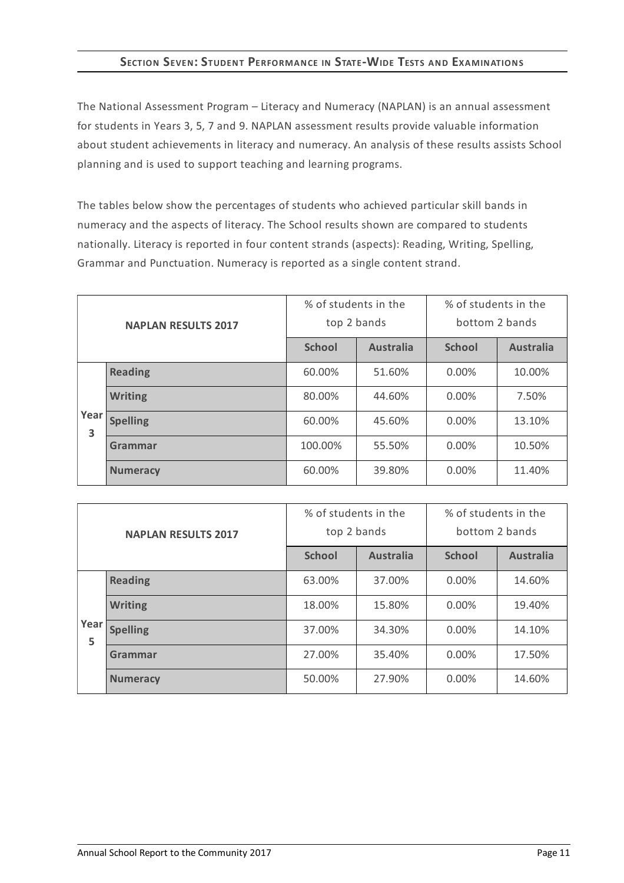# **SECTION SEVEN:STUDENT PERFORMANCE IN STATE-WIDE TESTS AND EXAMINATIONS**

The National Assessment Program – Literacy and Numeracy (NAPLAN) is an annual assessment for students in Years 3, 5, 7 and 9. NAPLAN assessment results provide valuable information about student achievements in literacy and numeracy. An analysis of these results assists School planning and is used to support teaching and learning programs.

The tables below show the percentages of students who achieved particular skill bands in numeracy and the aspects of literacy. The School results shown are compared to students nationally. Literacy is reported in four content strands (aspects): Reading, Writing, Spelling, Grammar and Punctuation. Numeracy is reported as a single content strand.

| <b>NAPLAN RESULTS 2017</b> |                 | % of students in the<br>top 2 bands |                  | % of students in the<br>bottom 2 bands |                  |
|----------------------------|-----------------|-------------------------------------|------------------|----------------------------------------|------------------|
|                            |                 | <b>School</b>                       | <b>Australia</b> | <b>School</b>                          | <b>Australia</b> |
|                            | <b>Reading</b>  | 60.00%                              | 51.60%           | $0.00\%$                               | 10.00%           |
|                            | <b>Writing</b>  | 80.00%                              | 44.60%           | $0.00\%$                               | 7.50%            |
| Year<br>3                  | <b>Spelling</b> | 60.00%                              | 45.60%           | $0.00\%$                               | 13.10%           |
|                            | Grammar         | 100.00%                             | 55.50%           | $0.00\%$                               | 10.50%           |
|                            | <b>Numeracy</b> | 60.00%                              | 39.80%           | $0.00\%$                               | 11.40%           |

| <b>NAPLAN RESULTS 2017</b> |                 | % of students in the<br>top 2 bands |                  | % of students in the<br>bottom 2 bands |                  |
|----------------------------|-----------------|-------------------------------------|------------------|----------------------------------------|------------------|
|                            |                 | <b>School</b>                       | <b>Australia</b> | <b>School</b>                          | <b>Australia</b> |
|                            | <b>Reading</b>  | 63.00%                              | 37.00%           | $0.00\%$                               | 14.60%           |
|                            | <b>Writing</b>  | 18.00%                              | 15.80%           | $0.00\%$                               | 19.40%           |
| Year<br>5                  | <b>Spelling</b> | 37.00%                              | 34.30%           | $0.00\%$                               | 14.10%           |
|                            | Grammar         | 27.00%                              | 35.40%           | $0.00\%$                               | 17.50%           |
|                            | <b>Numeracy</b> | 50.00%                              | 27.90%           | 0.00%                                  | 14.60%           |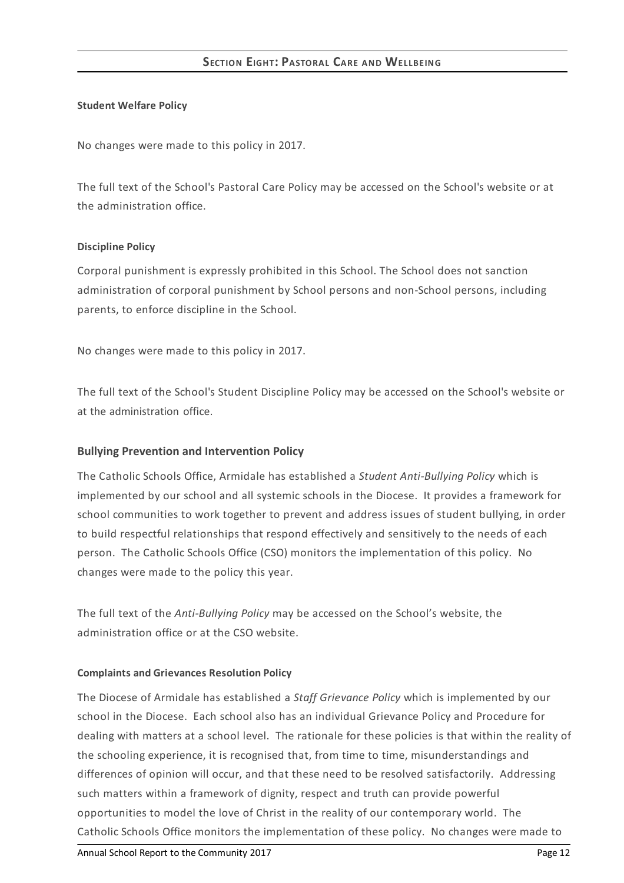### **SECTION EIGHT: PASTORAL CARE AN D WELLBEIN G**

#### **Student Welfare Policy**

No changes were made to this policy in 2017.

The full text of the School's Pastoral Care Policy may be accessed on the School's website or at the administration office.

#### **Discipline Policy**

Corporal punishment is expressly prohibited in this School. The School does not sanction administration of corporal punishment by School persons and non-School persons, including parents, to enforce discipline in the School.

No changes were made to this policy in 2017.

The full text of the School's Student Discipline Policy may be accessed on the School's website or at the administration office.

### **Bullying Prevention and Intervention Policy**

The Catholic Schools Office, Armidale has established a *Student Anti-Bullying Policy* which is implemented by our school and all systemic schools in the Diocese. It provides a framework for school communities to work together to prevent and address issues of student bullying, in order to build respectful relationships that respond effectively and sensitively to the needs of each person. The Catholic Schools Office (CSO) monitors the implementation of this policy. No changes were made to the policy this year.

The full text of the *Anti-Bullying Policy* may be accessed on the School's website, the administration office or at the CSO website.

#### **Complaints and Grievances Resolution Policy**

The Diocese of Armidale has established a *Staff Grievance Policy* which is implemented by our school in the Diocese. Each school also has an individual Grievance Policy and Procedure for dealing with matters at a school level. The rationale for these policies is that within the reality of the schooling experience, it is recognised that, from time to time, misunderstandings and differences of opinion will occur, and that these need to be resolved satisfactorily. Addressing such matters within a framework of dignity, respect and truth can provide powerful opportunities to model the love of Christ in the reality of our contemporary world. The Catholic Schools Office monitors the implementation of these policy. No changes were made to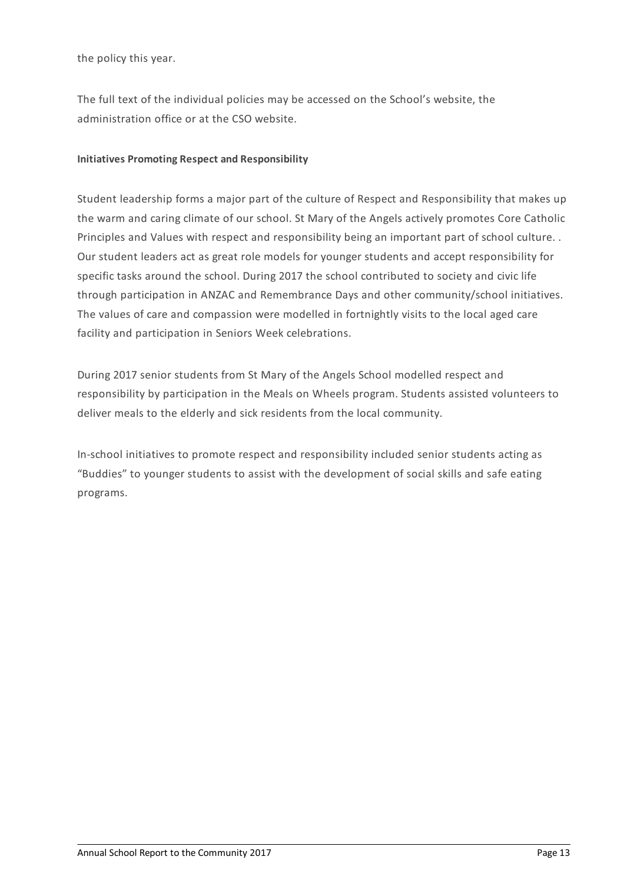the policy this year.

The full text of the individual policies may be accessed on the School's website, the administration office or at the CSO website.

# **Initiatives Promoting Respect and Responsibility**

Student leadership forms a major part of the culture of Respect and Responsibility that makes up the warm and caring climate of our school. St Mary of the Angels actively promotes Core Catholic Principles and Values with respect and responsibility being an important part of school culture. . Our student leaders act as great role models for younger students and accept responsibility for specific tasks around the school. During 2017 the school contributed to society and civic life through participation in ANZAC and Remembrance Days and other community/school initiatives. The values of care and compassion were modelled in fortnightly visits to the local aged care facility and participation in Seniors Week celebrations.

During 2017 senior students from St Mary of the Angels School modelled respect and responsibility by participation in the Meals on Wheels program. Students assisted volunteers to deliver meals to the elderly and sick residents from the local community.

In-school initiatives to promote respect and responsibility included senior students acting as "Buddies" to younger students to assist with the development of social skills and safe eating programs.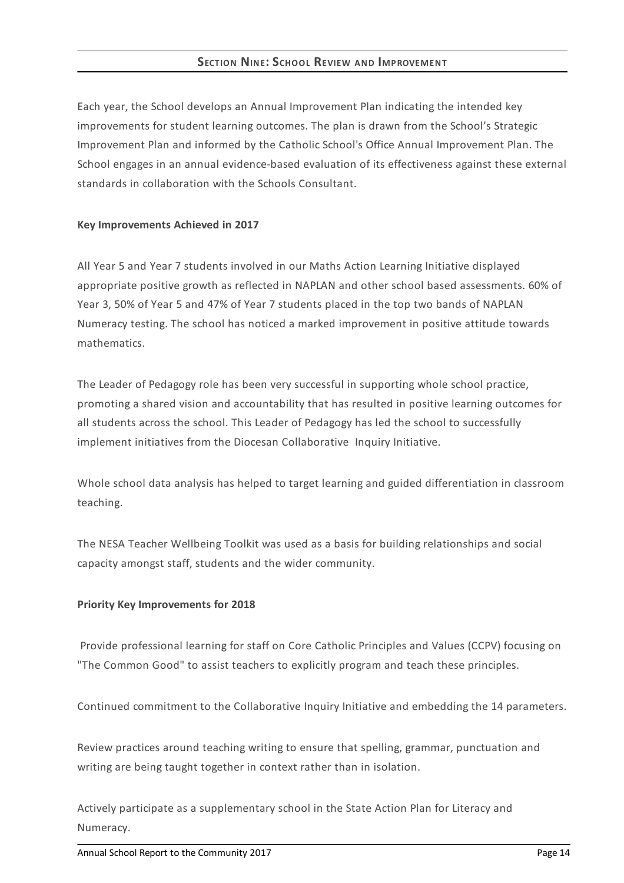# **SECTION NINE:SCHOOL REVIEW AND IMPROVEMENT**

Each year, the School develops an Annual Improvement Plan indicating the intended key improvements for student learning outcomes. The plan is drawn from the School's Strategic Improvement Plan and informed by the Catholic School's Office Annual Improvement Plan. The School engages in an annual evidence-based evaluation of its effectiveness against these external standards in collaboration with the Schools Consultant.

### **Key Improvements Achieved in 2017**

All Year 5 and Year 7 students involved in our Maths Action Learning Initiative displayed appropriate positive growth as reflected in NAPLAN and other school based assessments. 60% of Year 3, 50% of Year 5 and 47% of Year 7 students placed in the top two bands of NAPLAN Numeracy testing. The school has noticed a marked improvement in positive attitude towards mathematics.

The Leader of Pedagogy role has been very successful in supporting whole school practice, promoting a shared vision and accountability that has resulted in positive learning outcomes for all students across the school. This Leader of Pedagogy has led the school to successfully implement initiatives from the Diocesan Collaborative Inquiry Initiative.

Whole school data analysis has helped to target learning and guided differentiation in classroom teaching.

The NESA Teacher Wellbeing Toolkit was used as a basis for building relationships and social capacity amongst staff, students and the wider community.

### **Priority Key Improvements for 2018**

Provide professional learning for staff on Core Catholic Principles and Values (CCPV) focusing on "The Common Good" to assist teachers to explicitly program and teach these principles.

Continued commitment to the Collaborative Inquiry Initiative and embedding the 14 parameters.

Review practices around teaching writing to ensure that spelling, grammar, punctuation and writing are being taught together in context rather than in isolation.

Actively participate as a supplementary school in the State Action Plan for Literacy and Numeracy.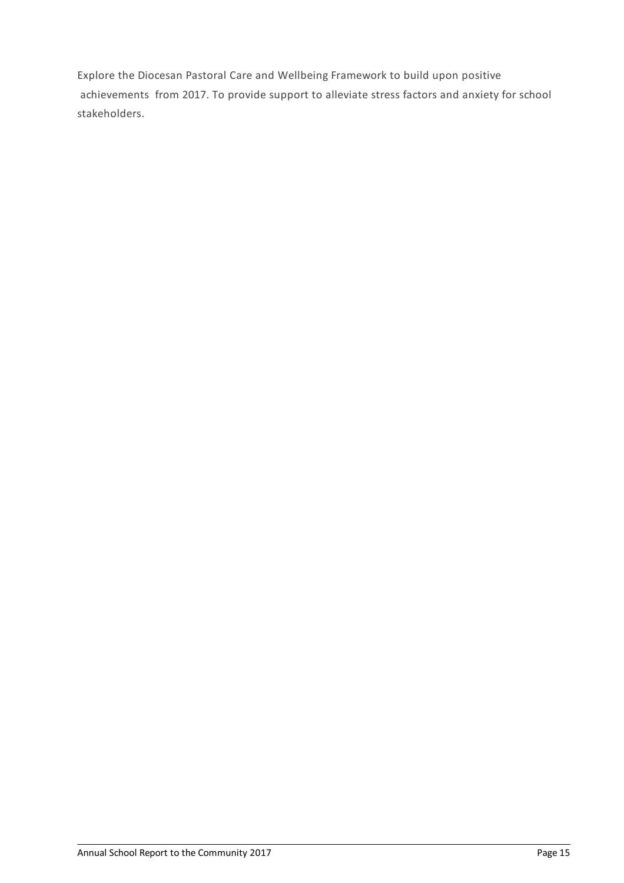Explore the Diocesan Pastoral Care and Wellbeing Framework to build upon positive achievements from 2017. To provide support to alleviate stress factors and anxiety for school stakeholders.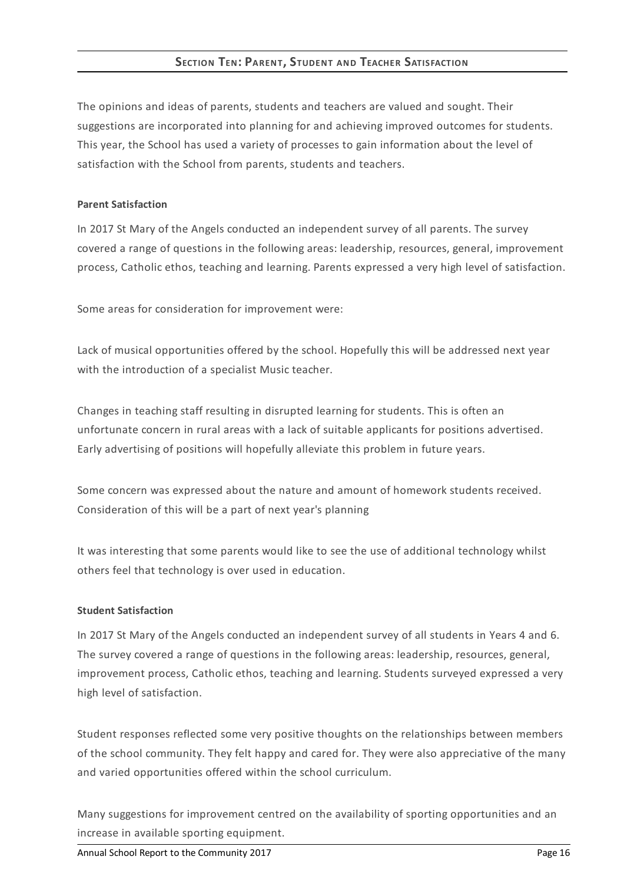# **SECTION TEN: PARENT, STUDENT AND TEACHER SATISFACTION**

The opinions and ideas of parents, students and teachers are valued and sought. Their suggestions are incorporated into planning for and achieving improved outcomes for students. This year, the School has used a variety of processes to gain information about the level of satisfaction with the School from parents, students and teachers.

#### **Parent Satisfaction**

In 2017 St Mary of the Angels conducted an independent survey of all parents. The survey covered a range of questions in the following areas: leadership, resources, general, improvement process, Catholic ethos, teaching and learning. Parents expressed a very high level of satisfaction.

Some areas for consideration for improvement were:

Lack of musical opportunities offered by the school. Hopefully this will be addressed next year with the introduction of a specialist Music teacher.

Changes in teaching staff resulting in disrupted learning for students. This is often an unfortunate concern in rural areas with a lack of suitable applicants for positions advertised. Early advertising of positions will hopefully alleviate this problem in future years.

Some concern was expressed about the nature and amount of homework students received. Consideration of this will be a part of next year's planning

It was interesting that some parents would like to see the use of additional technology whilst others feel that technology is over used in education.

#### **Student Satisfaction**

In 2017 St Mary of the Angels conducted an independent survey of all students in Years 4 and 6. The survey covered a range of questions in the following areas: leadership, resources, general, improvement process, Catholic ethos, teaching and learning. Students surveyed expressed a very high level of satisfaction.

Student responses reflected some very positive thoughts on the relationships between members of the school community. They felt happy and cared for. They were also appreciative of the many and varied opportunities offered within the school curriculum.

Many suggestions for improvement centred on the availability of sporting opportunities and an increase in available sporting equipment.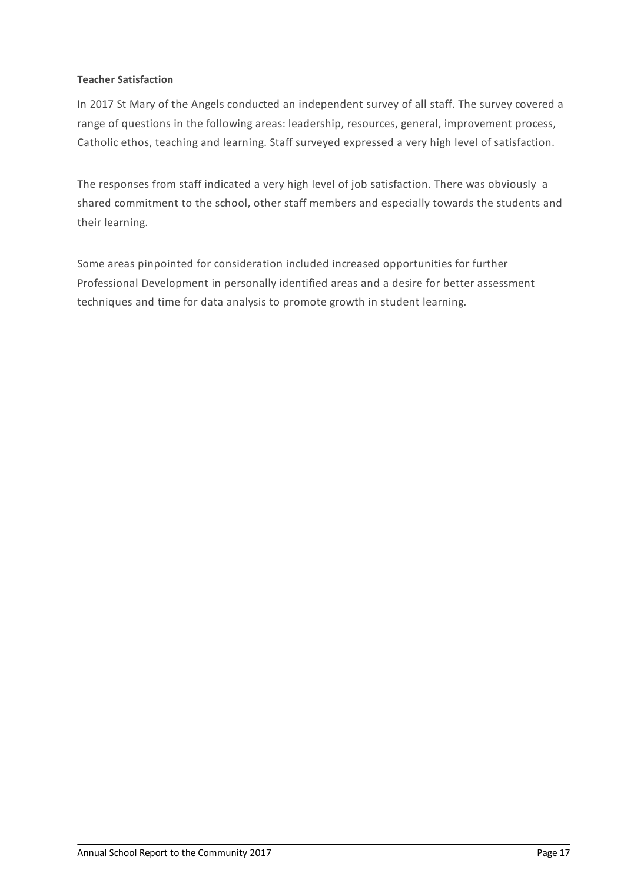## **Teacher Satisfaction**

In 2017 St Mary of the Angels conducted an independent survey of all staff. The survey covered a range of questions in the following areas: leadership, resources, general, improvement process, Catholic ethos, teaching and learning. Staff surveyed expressed a very high level of satisfaction.

The responses from staff indicated a very high level of job satisfaction. There was obviously a shared commitment to the school, other staff members and especially towards the students and their learning.

Some areas pinpointed for consideration included increased opportunities for further Professional Development in personally identified areas and a desire for better assessment techniques and time for data analysis to promote growth in student learning.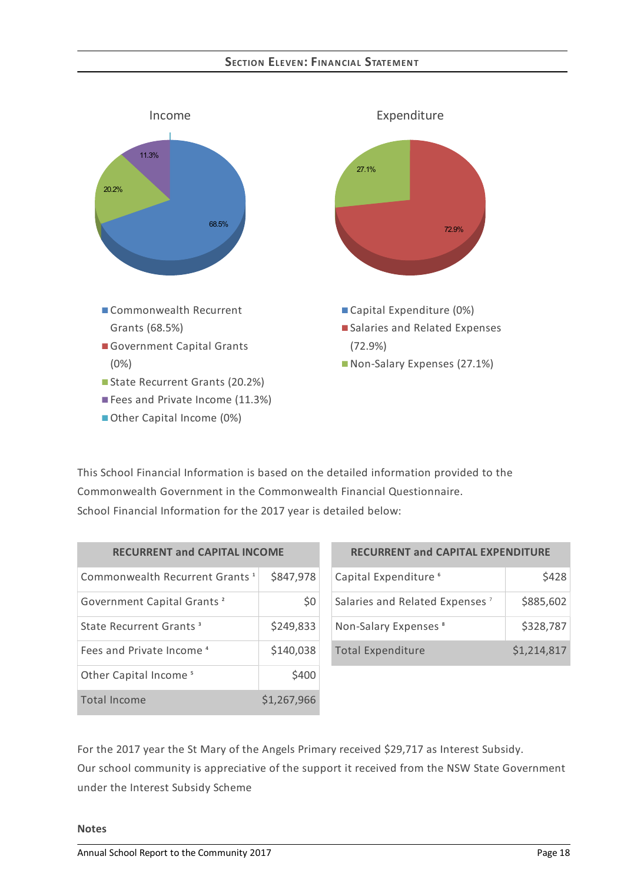## **SECTION ELEVEN:FINANCIAL STATEMENT**



This School Financial Information is based on the detailed information provided to the Commonwealth Government in the Commonwealth Financial Questionnaire. School Financial Information for the 2017 year is detailed below:

| <b>RECURRENT and CAPITAL INCOME</b>        |             |  |
|--------------------------------------------|-------------|--|
| Commonwealth Recurrent Grants <sup>1</sup> | \$847,978   |  |
| Government Capital Grants <sup>2</sup>     | \$0         |  |
| State Recurrent Grants <sup>3</sup>        | \$249,833   |  |
| Fees and Private Income <sup>4</sup>       | \$140,038   |  |
| Other Capital Income <sup>5</sup>          | \$400       |  |
| Total Income                               | \$1,267,966 |  |

| <b>RECURRENT and CAPITAL EXPENDITURE</b>   |             |  |
|--------------------------------------------|-------------|--|
| Capital Expenditure <sup>6</sup>           | \$428       |  |
| Salaries and Related Expenses <sup>7</sup> | \$885,602   |  |
| Non-Salary Expenses <sup>8</sup>           | \$328,787   |  |
| <b>Total Expenditure</b>                   | \$1,214,817 |  |

For the 2017 year the St Mary of the Angels Primary received \$29,717 as Interest Subsidy. Our school community is appreciative of the support it received from the NSW State Government under the Interest Subsidy Scheme

### **Notes**